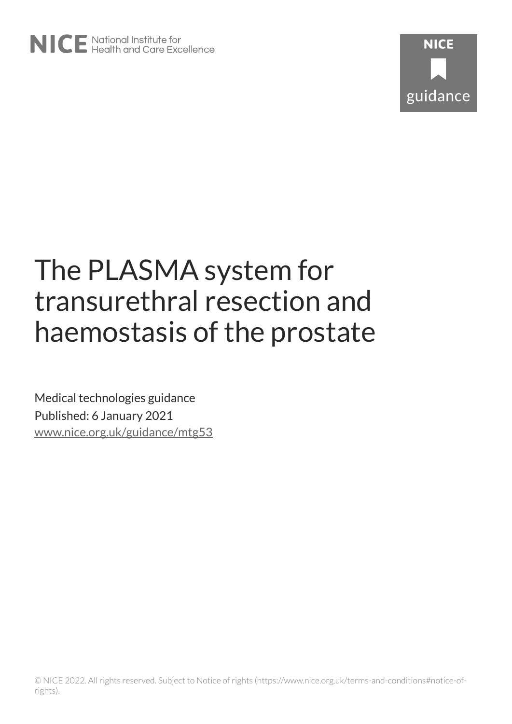

# The PLASMA system for transurethral resection and haemostasis of the prostate

Medical technologies guidance Published: 6 January 2021 [www.nice.org.uk/guidance/mtg53](https://www.nice.org.uk/guidance/mtg53)

© NICE 2022. All rights reserved. Subject to Notice of rights (https://www.nice.org.uk/terms-and-conditions#notice-ofrights).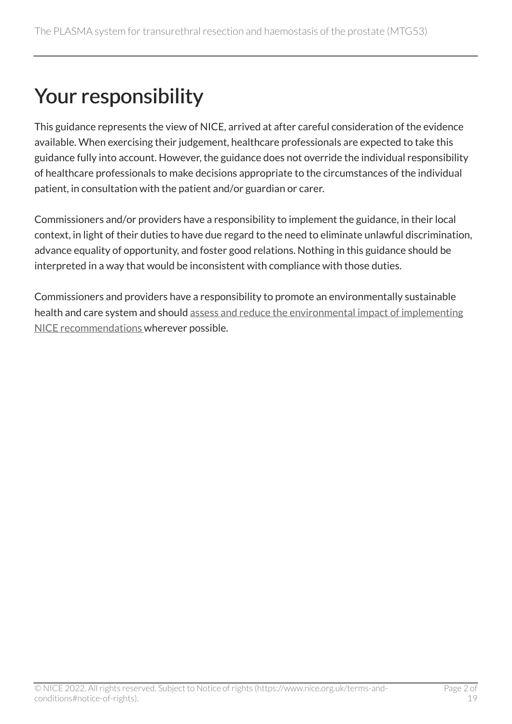## Your responsibility

This guidance represents the view of NICE, arrived at after careful consideration of the evidence available. When exercising their judgement, healthcare professionals are expected to take this guidance fully into account. However, the guidance does not override the individual responsibility of healthcare professionals to make decisions appropriate to the circumstances of the individual patient, in consultation with the patient and/or guardian or carer.

Commissioners and/or providers have a responsibility to implement the guidance, in their local context, in light of their duties to have due regard to the need to eliminate unlawful discrimination, advance equality of opportunity, and foster good relations. Nothing in this guidance should be interpreted in a way that would be inconsistent with compliance with those duties.

Commissioners and providers have a responsibility to promote an environmentally sustainable health and care system and should [assess and reduce the environmental impact of implementing](https://www.nice.org.uk/about/who-we-are/sustainability)  [NICE recommendations w](https://www.nice.org.uk/about/who-we-are/sustainability)herever possible.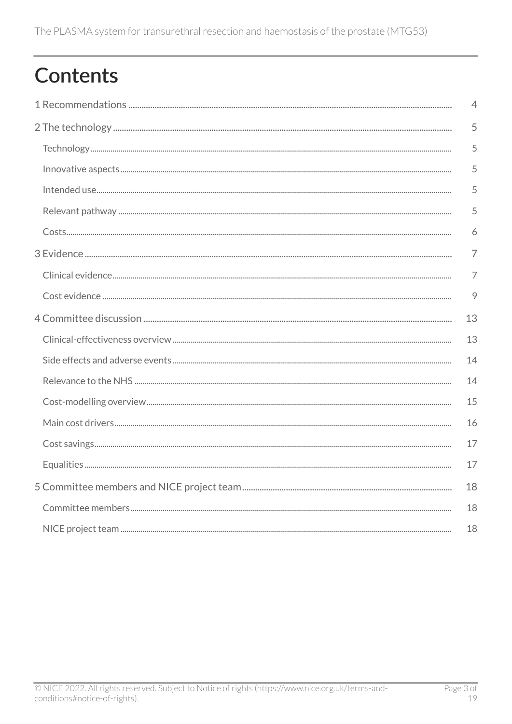## **Contents**

| $\overline{4}$ |
|----------------|
| 5              |
| 5              |
| 5              |
| 5              |
| 5              |
| 6              |
| $\overline{7}$ |
| 7              |
| 9              |
| 13             |
| 13             |
| 14             |
| 14             |
| 15             |
| 16             |
| 17             |
| 17             |
| 18             |
| 18             |
| 18             |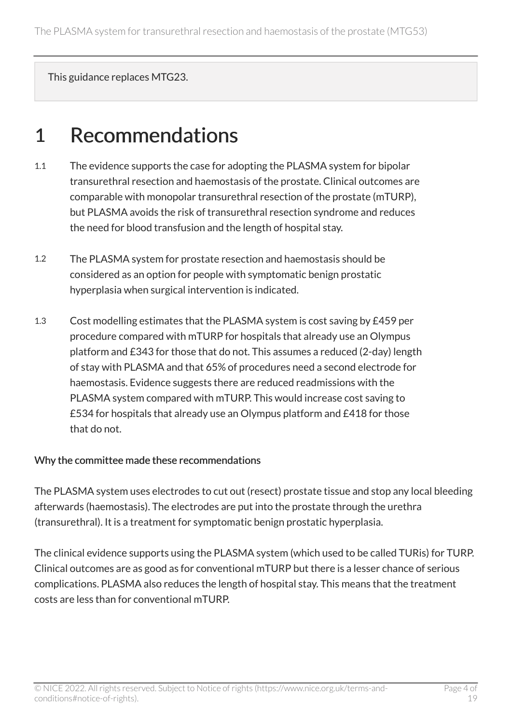This guidance replaces MTG23.

## <span id="page-3-0"></span>1 Recommendations

- 1.1 The evidence supports the case for adopting the PLASMA system for bipolar transurethral resection and haemostasis of the prostate. Clinical outcomes are comparable with monopolar transurethral resection of the prostate (mTURP), but PLASMA avoids the risk of transurethral resection syndrome and reduces the need for blood transfusion and the length of hospital stay.
- 1.2 The PLASMA system for prostate resection and haemostasis should be considered as an option for people with symptomatic benign prostatic hyperplasia when surgical intervention is indicated.
- 1.3 Cost modelling estimates that the PLASMA system is cost saving by £459 per procedure compared with mTURP for hospitals that already use an Olympus platform and £343 for those that do not. This assumes a reduced (2-day) length of stay with PLASMA and that 65% of procedures need a second electrode for haemostasis. Evidence suggests there are reduced readmissions with the PLASMA system compared with mTURP. This would increase cost saving to £534 for hospitals that already use an Olympus platform and £418 for those that do not.

#### Why the committee made these recommendations

The PLASMA system uses electrodes to cut out (resect) prostate tissue and stop any local bleeding afterwards (haemostasis). The electrodes are put into the prostate through the urethra (transurethral). It is a treatment for symptomatic benign prostatic hyperplasia.

The clinical evidence supports using the PLASMA system (which used to be called TURis) for TURP. Clinical outcomes are as good as for conventional mTURP but there is a lesser chance of serious complications. PLASMA also reduces the length of hospital stay. This means that the treatment costs are less than for conventional mTURP.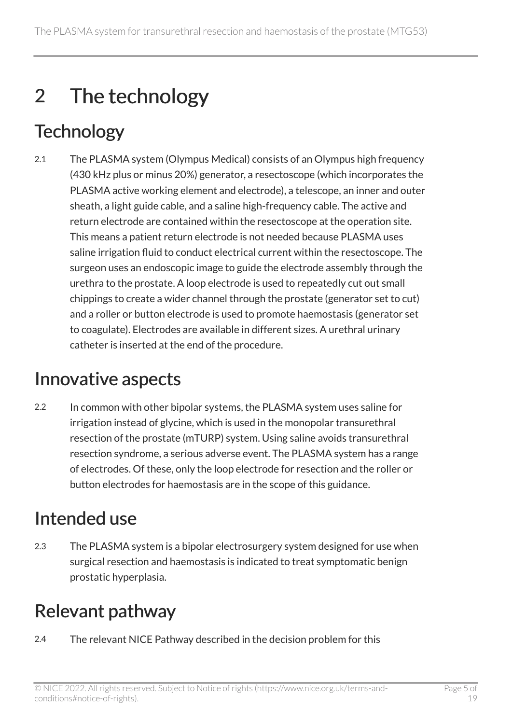## <span id="page-4-0"></span>2 The technology

## <span id="page-4-1"></span>**Technology**

2.1 The PLASMA system (Olympus Medical) consists of an Olympus high frequency (430 kHz plus or minus 20%) generator, a resectoscope (which incorporates the PLASMA active working element and electrode), a telescope, an inner and outer sheath, a light guide cable, and a saline high-frequency cable. The active and return electrode are contained within the resectoscope at the operation site. This means a patient return electrode is not needed because PLASMA uses saline irrigation fluid to conduct electrical current within the resectoscope. The surgeon uses an endoscopic image to guide the electrode assembly through the urethra to the prostate. A loop electrode is used to repeatedly cut out small chippings to create a wider channel through the prostate (generator set to cut) and a roller or button electrode is used to promote haemostasis (generator set to coagulate). Electrodes are available in different sizes. A urethral urinary catheter is inserted at the end of the procedure.

## <span id="page-4-2"></span>Innovative aspects

2.2 In common with other bipolar systems, the PLASMA system uses saline for irrigation instead of glycine, which is used in the monopolar transurethral resection of the prostate (mTURP) system. Using saline avoids transurethral resection syndrome, a serious adverse event. The PLASMA system has a range of electrodes. Of these, only the loop electrode for resection and the roller or button electrodes for haemostasis are in the scope of this guidance.

## <span id="page-4-3"></span>Intended use

2.3 The PLASMA system is a bipolar electrosurgery system designed for use when surgical resection and haemostasis is indicated to treat symptomatic benign prostatic hyperplasia.

### <span id="page-4-4"></span>Relevant pathway

2.4 The relevant NICE Pathway described in the decision problem for this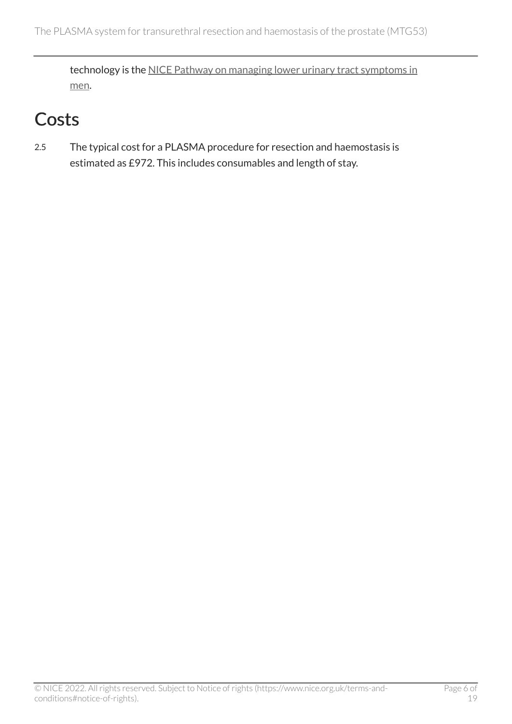technology is the NICE Pathway on managing lower urinary tract symptoms in [men](https://pathways.nice.org.uk/pathways/lower-urinary-tract-symptoms-in-men#path=view%3A/pathways/lower-urinary-tract-symptoms-in-men/managing-lower-urinary-tract-symptoms-in-men.xml&content=view-node%3Anodes-surgery-for-voiding-and-storage-symptoms-caused-by-enlarged-prostate).

## <span id="page-5-0"></span>**Costs**

2.5 The typical cost for a PLASMA procedure for resection and haemostasis is estimated as £972. This includes consumables and length of stay.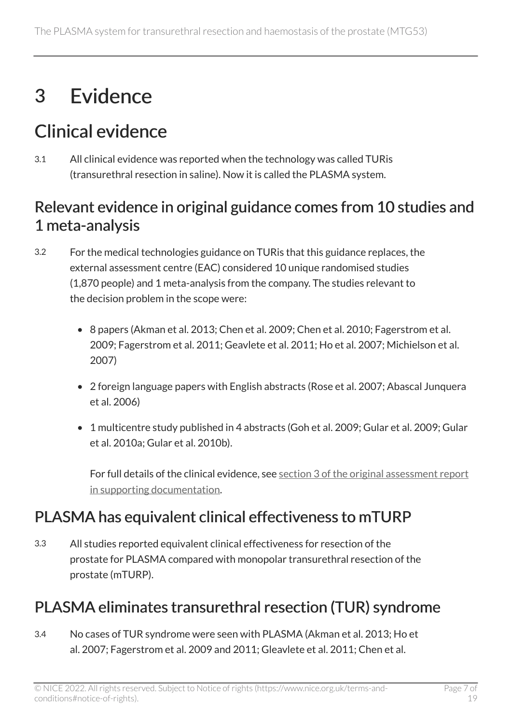## <span id="page-6-0"></span>3 Evidence

## <span id="page-6-1"></span>Clinical evidence

3.1 All clinical evidence was reported when the technology was called TURis (transurethral resection in saline). Now it is called the PLASMA system.

#### Relevant evidence in original guidance comes from 10 studies and 1 meta-analysis

- 3.2 For the medical technologies guidance on TURis that this guidance replaces, the external assessment centre (EAC) considered 10 unique randomised studies (1,870 people) and 1 meta-analysis from the company. The studies relevant to the decision problem in the scope were:
	- 8 papers (Akman et al. 2013; Chen et al. 2009; Chen et al. 2010; Fagerstrom et al. 2009; Fagerstrom et al. 2011; Geavlete et al. 2011; Ho et al. 2007; Michielson et al. 2007)
	- 2 foreign language papers with English abstracts (Rose et al. 2007; Abascal Junquera et al. 2006)
	- 1 multicentre study published in 4 abstracts (Goh et al. 2009; Gular et al. 2009; Gular et al. 2010a; Gular et al. 2010b).

For full details of the clinical evidence, see section [3 of the original assessment report](http://www.nice.org.uk/guidance/mtg53/history) [in supporting documentation.](http://www.nice.org.uk/guidance/mtg53/history)

#### PLASMA has equivalent clinical effectiveness to mTURP

3.3 All studies reported equivalent clinical effectiveness for resection of the prostate for PLASMA compared with monopolar transurethral resection of the prostate (mTURP).

#### PLASMA eliminates transurethral resection (TUR) syndrome

3.4 No cases of TUR syndrome were seen with PLASMA (Akman et al. 2013; Ho et al. 2007; Fagerstrom et al. 2009 and 2011; Gleavlete et al. 2011; Chen et al.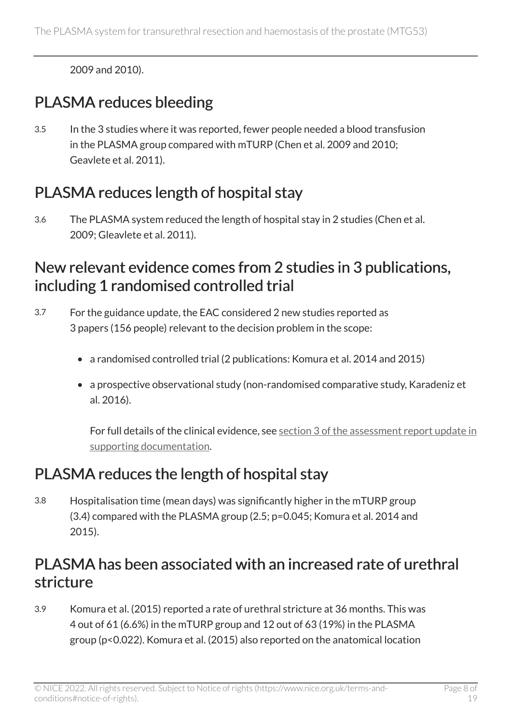2009 and 2010).

#### PLASMA reduces bleeding

3.5 In the 3 studies where it was reported, fewer people needed a blood transfusion in the PLASMA group compared with mTURP (Chen et al. 2009 and 2010; Geavlete et al. 2011).

#### PLASMA reduces length of hospital stay

3.6 The PLASMA system reduced the length of hospital stay in 2 studies (Chen et al. 2009; Gleavlete et al. 2011).

#### New relevant evidence comes from 2 studies in 3 publications, including 1 randomised controlled trial

- 3.7 For the guidance update, the EAC considered 2 new studies reported as 3 papers (156 people) relevant to the decision problem in the scope:
	- a randomised controlled trial (2 publications: Komura et al. 2014 and 2015)
	- a prospective observational study (non-randomised comparative study, Karadeniz et al. 2016).

For full details of the clinical evidence, see section [3 of the assessment report update in](http://www.nice.org.uk/guidance/mtg53/history)  [supporting documentation.](http://www.nice.org.uk/guidance/mtg53/history)

#### PLASMA reduces the length of hospital stay

3.8 Hospitalisation time (mean days) was significantly higher in the mTURP group (3.4) compared with the PLASMA group (2.5; p=0.045; Komura et al. 2014 and 2015).

#### PLASMA has been associated with an increased rate of urethral stricture

3.9 Komura et al. (2015) reported a rate of urethral stricture at 36 months. This was 4 out of 61 (6.6%) in the mTURP group and 12 out of 63 (19%) in the PLASMA group (p<0.022). Komura et al. (2015) also reported on the anatomical location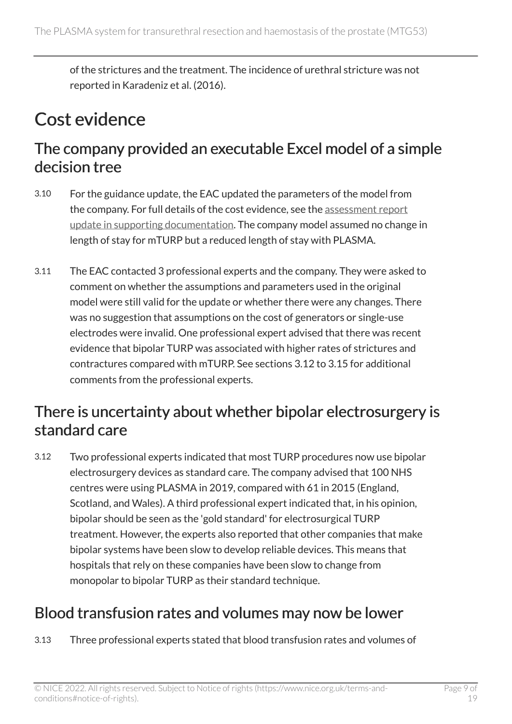of the strictures and the treatment. The incidence of urethral stricture was not reported in Karadeniz et al. (2016).

### <span id="page-8-0"></span>Cost evidence

#### The company provided an executable Excel model of a simple decision tree

- 3.10 For the guidance update, the EAC updated the parameters of the model from the company. For full details of the cost evidence, see the [assessment report](http://www.nice.org.uk/guidance/mtg53/history) [update in supporting documentation.](http://www.nice.org.uk/guidance/mtg53/history) The company model assumed no change in length of stay for mTURP but a reduced length of stay with PLASMA.
- 3.11 The EAC contacted 3 professional experts and the company. They were asked to comment on whether the assumptions and parameters used in the original model were still valid for the update or whether there were any changes. There was no suggestion that assumptions on the cost of generators or single-use electrodes were invalid. One professional expert advised that there was recent evidence that bipolar TURP was associated with higher rates of strictures and contractures compared with mTURP. See sections 3.12 to 3.15 for additional comments from the professional experts.

#### There is uncertainty about whether bipolar electrosurgery is standard care

3.12 Two professional experts indicated that most TURP procedures now use bipolar electrosurgery devices as standard care. The company advised that 100 NHS centres were using PLASMA in 2019, compared with 61 in 2015 (England, Scotland, and Wales). A third professional expert indicated that, in his opinion, bipolar should be seen as the 'gold standard' for electrosurgical TURP treatment. However, the experts also reported that other companies that make bipolar systems have been slow to develop reliable devices. This means that hospitals that rely on these companies have been slow to change from monopolar to bipolar TURP as their standard technique.

#### Blood transfusion rates and volumes may now be lower

3.13 Three professional experts stated that blood transfusion rates and volumes of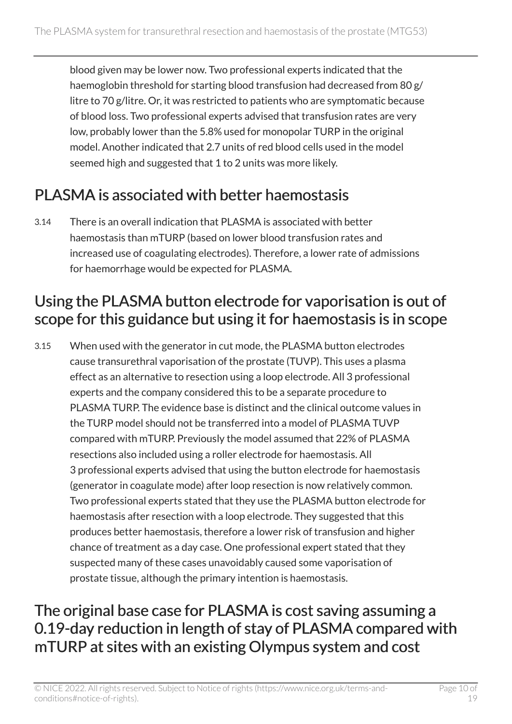blood given may be lower now. Two professional experts indicated that the haemoglobin threshold for starting blood transfusion had decreased from 80 g/ litre to 70 g/litre. Or, it was restricted to patients who are symptomatic because of blood loss. Two professional experts advised that transfusion rates are very low, probably lower than the 5.8% used for monopolar TURP in the original model. Another indicated that 2.7 units of red blood cells used in the model seemed high and suggested that 1 to 2 units was more likely.

### PLASMA is associated with better haemostasis

3.14 There is an overall indication that PLASMA is associated with better haemostasis than mTURP (based on lower blood transfusion rates and increased use of coagulating electrodes). Therefore, a lower rate of admissions for haemorrhage would be expected for PLASMA.

#### Using the PLASMA button electrode for vaporisation is out of scope for this guidance but using it for haemostasis is in scope

3.15 When used with the generator in cut mode, the PLASMA button electrodes cause transurethral vaporisation of the prostate (TUVP). This uses a plasma effect as an alternative to resection using a loop electrode. All 3 professional experts and the company considered this to be a separate procedure to PLASMA TURP. The evidence base is distinct and the clinical outcome values in the TURP model should not be transferred into a model of PLASMA TUVP compared with mTURP. Previously the model assumed that 22% of PLASMA resections also included using a roller electrode for haemostasis. All 3 professional experts advised that using the button electrode for haemostasis (generator in coagulate mode) after loop resection is now relatively common. Two professional experts stated that they use the PLASMA button electrode for haemostasis after resection with a loop electrode. They suggested that this produces better haemostasis, therefore a lower risk of transfusion and higher chance of treatment as a day case. One professional expert stated that they suspected many of these cases unavoidably caused some vaporisation of prostate tissue, although the primary intention is haemostasis.

#### <span id="page-9-0"></span>The original base case for PLASMA is cost saving assuming a 0.19-day reduction in length of stay of PLASMA compared with mTURP at sites with an existing Olympus system and cost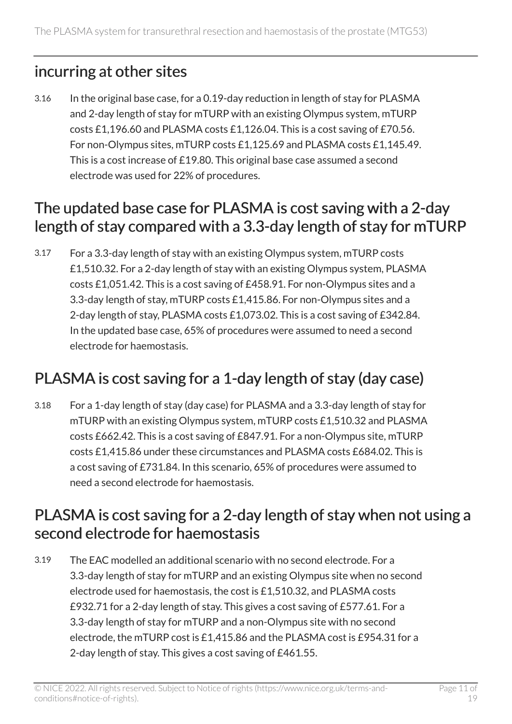#### incurring at other sites

3.16 In the original base case, for a 0.19-day reduction in length of stay for PLASMA and 2-day length of stay for mTURP with an existing Olympus system, mTURP costs £1,196.60 and PLASMA costs £1,126.04. This is a cost saving of £70.56. For non-Olympus sites, mTURP costs £1,125.69 and PLASMA costs £1,145.49. This is a cost increase of £19.80. This original base case assumed a second electrode was used for 22% of procedures.

#### The updated base case for PLASMA is cost saving with a 2-day length of stay compared with a 3.3-day length of stay for mTURP

3.17 For a 3.3-day length of stay with an existing Olympus system, mTURP costs £1,510.32. For a 2-day length of stay with an existing Olympus system, PLASMA costs £1,051.42. This is a cost saving of £458.91. For non-Olympus sites and a 3.3-day length of stay, mTURP costs £1,415.86. For non-Olympus sites and a 2-day length of stay, PLASMA costs £1,073.02. This is a cost saving of £342.84. In the updated base case, 65% of procedures were assumed to need a second electrode for haemostasis.

### PLASMA is cost saving for a 1-day length of stay (day case)

3.18 For a 1-day length of stay (day case) for PLASMA and a 3.3-day length of stay for mTURP with an existing Olympus system, mTURP costs £1,510.32 and PLASMA costs £662.42. This is a cost saving of £847.91. For a non-Olympus site, mTURP costs £1,415.86 under these circumstances and PLASMA costs £684.02. This is a cost saving of £731.84. In this scenario, 65% of procedures were assumed to need a second electrode for haemostasis.

#### PLASMA is cost saving for a 2-day length of stay when not using a second electrode for haemostasis

3.19 The EAC modelled an additional scenario with no second electrode. For a 3.3-day length of stay for mTURP and an existing Olympus site when no second electrode used for haemostasis, the cost is £1,510.32, and PLASMA costs £932.71 for a 2-day length of stay. This gives a cost saving of £577.61. For a 3.3-day length of stay for mTURP and a non-Olympus site with no second electrode, the mTURP cost is £1,415.86 and the PLASMA cost is £954.31 for a 2-day length of stay. This gives a cost saving of £461.55.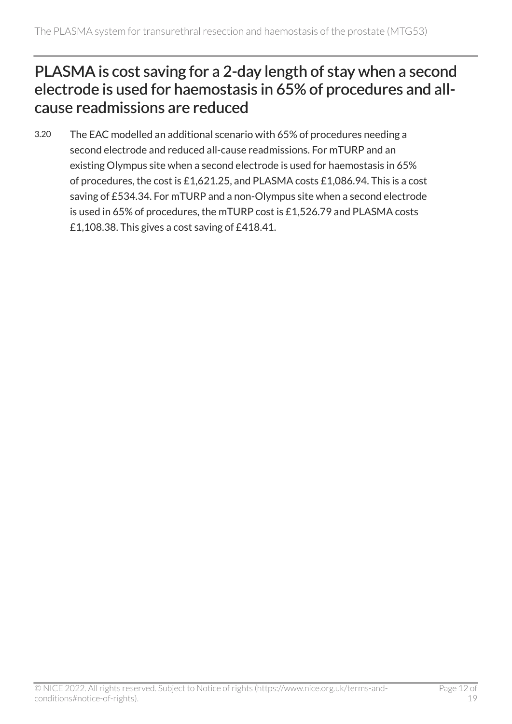#### PLASMA is cost saving for a 2-day length of stay when a second electrode is used for haemostasis in 65% of procedures and allcause readmissions are reduced

3.20 The EAC modelled an additional scenario with 65% of procedures needing a second electrode and reduced all-cause readmissions. For mTURP and an existing Olympus site when a second electrode is used for haemostasis in 65% of procedures, the cost is £1,621.25, and PLASMA costs £1,086.94. This is a cost saving of £534.34. For mTURP and a non-Olympus site when a second electrode is used in 65% of procedures, the mTURP cost is £1,526.79 and PLASMA costs £1,108.38. This gives a cost saving of £418.41.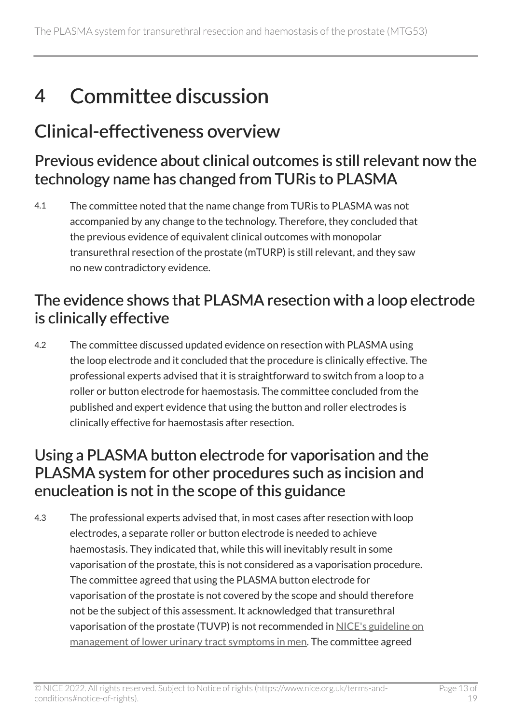## <span id="page-12-0"></span>4 Committee discussion

### <span id="page-12-1"></span>Clinical-effectiveness overview

#### Previous evidence about clinical outcomes is still relevant now the technology name has changed from TURis to PLASMA

4.1 The committee noted that the name change from TURis to PLASMA was not accompanied by any change to the technology. Therefore, they concluded that the previous evidence of equivalent clinical outcomes with monopolar transurethral resection of the prostate (mTURP) is still relevant, and they saw no new contradictory evidence.

#### The evidence shows that PLASMA resection with a loop electrode is clinically effective

4.2 The committee discussed updated evidence on resection with PLASMA using the loop electrode and it concluded that the procedure is clinically effective. The professional experts advised that it is straightforward to switch from a loop to a roller or button electrode for haemostasis. The committee concluded from the published and expert evidence that using the button and roller electrodes is clinically effective for haemostasis after resection.

#### Using a PLASMA button electrode for vaporisation and the PLASMA system for other procedures such as incision and enucleation is not in the scope of this guidance

4.3 The professional experts advised that, in most cases after resection with loop electrodes, a separate roller or button electrode is needed to achieve haemostasis. They indicated that, while this will inevitably result in some vaporisation of the prostate, this is not considered as a vaporisation procedure. The committee agreed that using the PLASMA button electrode for vaporisation of the prostate is not covered by the scope and should therefore not be the subject of this assessment. It acknowledged that transurethral vaporisation of the prostate (TUVP) is not recommended in [NICE's guideline on](https://www.nice.org.uk/guidance/cg97)  [management of lower urinary tract symptoms in men.](https://www.nice.org.uk/guidance/cg97) The committee agreed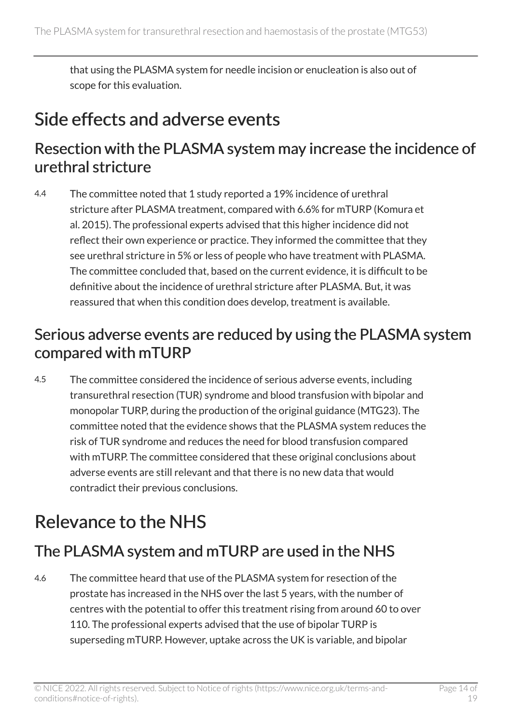that using the PLASMA system for needle incision or enucleation is also out of scope for this evaluation.

### <span id="page-13-0"></span>Side effects and adverse events

#### Resection with the PLASMA system may increase the incidence of urethral stricture

4.4 The committee noted that 1 study reported a 19% incidence of urethral stricture after PLASMA treatment, compared with 6.6% for mTURP (Komura et al. 2015). The professional experts advised that this higher incidence did not reflect their own experience or practice. They informed the committee that they see urethral stricture in 5% or less of people who have treatment with PLASMA. The committee concluded that, based on the current evidence, it is difficult to be definitive about the incidence of urethral stricture after PLASMA. But, it was reassured that when this condition does develop, treatment is available.

#### Serious adverse events are reduced by using the PLASMA system compared with mTURP

4.5 The committee considered the incidence of serious adverse events, including transurethral resection (TUR) syndrome and blood transfusion with bipolar and monopolar TURP, during the production of the original guidance (MTG23). The committee noted that the evidence shows that the PLASMA system reduces the risk of TUR syndrome and reduces the need for blood transfusion compared with mTURP. The committee considered that these original conclusions about adverse events are still relevant and that there is no new data that would contradict their previous conclusions.

## <span id="page-13-1"></span>Relevance to the NHS

### The PLASMA system and mTURP are used in the NHS

4.6 The committee heard that use of the PLASMA system for resection of the prostate has increased in the NHS over the last 5 years, with the number of centres with the potential to offer this treatment rising from around 60 to over 110. The professional experts advised that the use of bipolar TURP is superseding mTURP. However, uptake across the UK is variable, and bipolar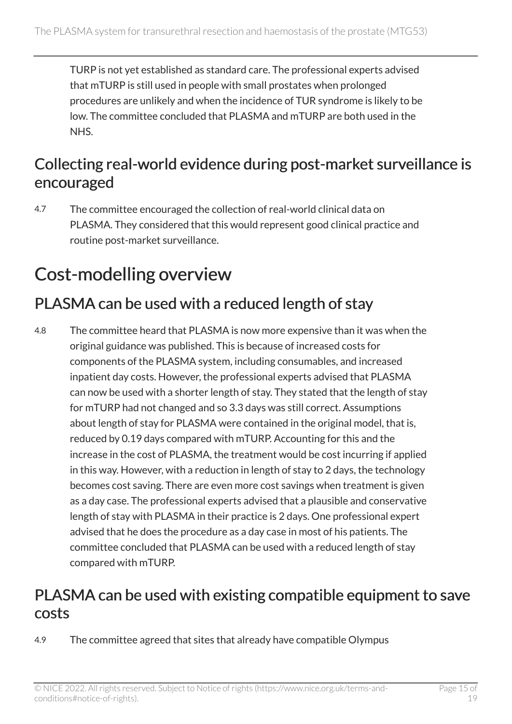TURP is not yet established as standard care. The professional experts advised that mTURP is still used in people with small prostates when prolonged procedures are unlikely and when the incidence of TUR syndrome is likely to be low. The committee concluded that PLASMA and mTURP are both used in the NHS.

#### Collecting real-world evidence during post-market surveillance is encouraged

4.7 The committee encouraged the collection of real-world clinical data on PLASMA. They considered that this would represent good clinical practice and routine post-market surveillance.

## <span id="page-14-0"></span>Cost-modelling overview

#### PLASMA can be used with a reduced length of stay

4.8 The committee heard that PLASMA is now more expensive than it was when the original guidance was published. This is because of increased costs for components of the PLASMA system, including consumables, and increased inpatient day costs. However, the professional experts advised that PLASMA can now be used with a shorter length of stay. They stated that the length of stay for mTURP had not changed and so 3.3 days was still correct. Assumptions about length of stay for PLASMA were contained in the original model, that is, reduced by 0.19 days compared with mTURP. Accounting for this and the increase in the cost of PLASMA, the treatment would be cost incurring if applied in this way. However, with a reduction in length of stay to 2 days, the technology becomes cost saving. There are even more cost savings when treatment is given as a day case. The professional experts advised that a plausible and conservative length of stay with PLASMA in their practice is 2 days. One professional expert advised that he does the procedure as a day case in most of his patients. The committee concluded that PLASMA can be used with a reduced length of stay compared with mTURP.

#### PLASMA can be used with existing compatible equipment to save costs

4.9 The committee agreed that sites that already have compatible Olympus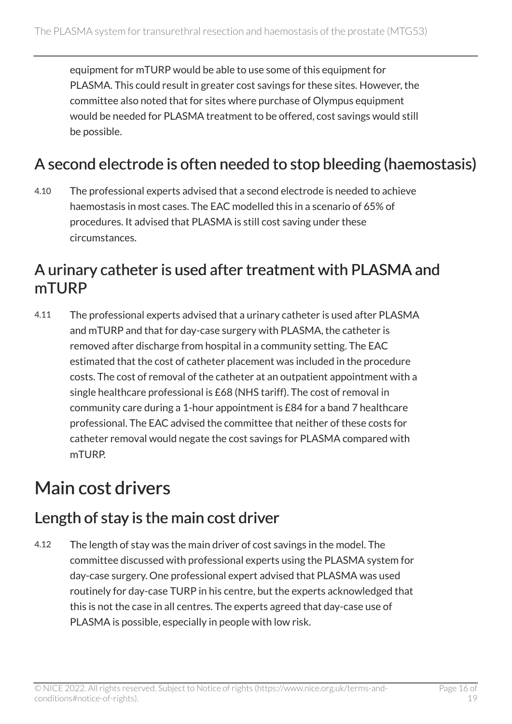equipment for mTURP would be able to use some of this equipment for PLASMA. This could result in greater cost savings for these sites. However, the committee also noted that for sites where purchase of Olympus equipment would be needed for PLASMA treatment to be offered, cost savings would still be possible.

#### A second electrode is often needed to stop bleeding (haemostasis)

4.10 The professional experts advised that a second electrode is needed to achieve haemostasis in most cases. The EAC modelled this in a scenario of 65% of procedures. It advised that PLASMA is still cost saving under these circumstances.

#### A urinary catheter is used after treatment with PLASMA and mTURP

4.11 The professional experts advised that a urinary catheter is used after PLASMA and mTURP and that for day-case surgery with PLASMA, the catheter is removed after discharge from hospital in a community setting. The EAC estimated that the cost of catheter placement was included in the procedure costs. The cost of removal of the catheter at an outpatient appointment with a single healthcare professional is £68 (NHS tariff). The cost of removal in community care during a 1-hour appointment is £84 for a band 7 healthcare professional. The EAC advised the committee that neither of these costs for catheter removal would negate the cost savings for PLASMA compared with mTURP.

### <span id="page-15-0"></span>Main cost drivers

#### Length of stay is the main cost driver

4.12 The length of stay was the main driver of cost savings in the model. The committee discussed with professional experts using the PLASMA system for day-case surgery. One professional expert advised that PLASMA was used routinely for day-case TURP in his centre, but the experts acknowledged that this is not the case in all centres. The experts agreed that day-case use of PLASMA is possible, especially in people with low risk.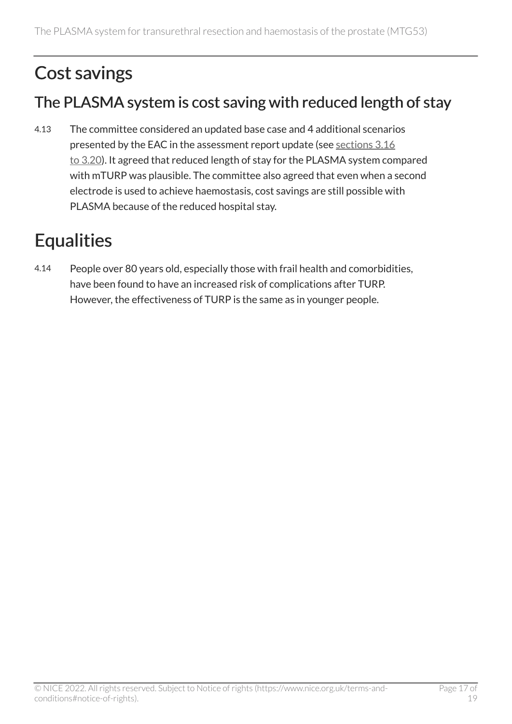## <span id="page-16-0"></span>Cost savings

### The PLASMA system is cost saving with reduced length of stay

4.13 The committee considered an updated base case and 4 additional scenarios presented by the EAC in the assessment report update (see [sections](#page-9-0) 3.16 to [3.20](#page-9-0)). It agreed that reduced length of stay for the PLASMA system compared with mTURP was plausible. The committee also agreed that even when a second electrode is used to achieve haemostasis, cost savings are still possible with PLASMA because of the reduced hospital stay.

## <span id="page-16-1"></span>**Equalities**

4.14 People over 80 years old, especially those with frail health and comorbidities, have been found to have an increased risk of complications after TURP. However, the effectiveness of TURP is the same as in younger people.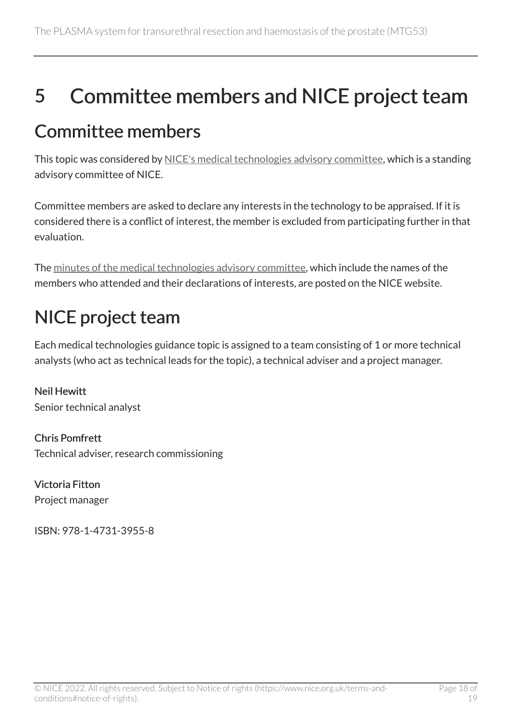## <span id="page-17-0"></span>5 Committee members and NICE project team

### <span id="page-17-1"></span>Committee members

This topic was considered by [NICE's medical technologies advisory committee](https://www.nice.org.uk/Get-Involved/Meetings-in-public/Medical-Technologies-Advisory-Committee/Members), which is a standing advisory committee of NICE.

Committee members are asked to declare any interests in the technology to be appraised. If it is considered there is a conflict of interest, the member is excluded from participating further in that evaluation.

The [minutes of the medical technologies advisory committee,](https://www.nice.org.uk/get-involved/meetings-in-public/medical-technologies-advisory-committee) which include the names of the members who attended and their declarations of interests, are posted on the NICE website.

## <span id="page-17-2"></span>NICE project team

Each medical technologies guidance topic is assigned to a team consisting of 1 or more technical analysts (who act as technical leads for the topic), a technical adviser and a project manager.

Neil Hewitt Senior technical analyst

Chris Pomfrett Technical adviser, research commissioning

Victoria Fitton Project manager

ISBN: 978-1-4731-3955-8